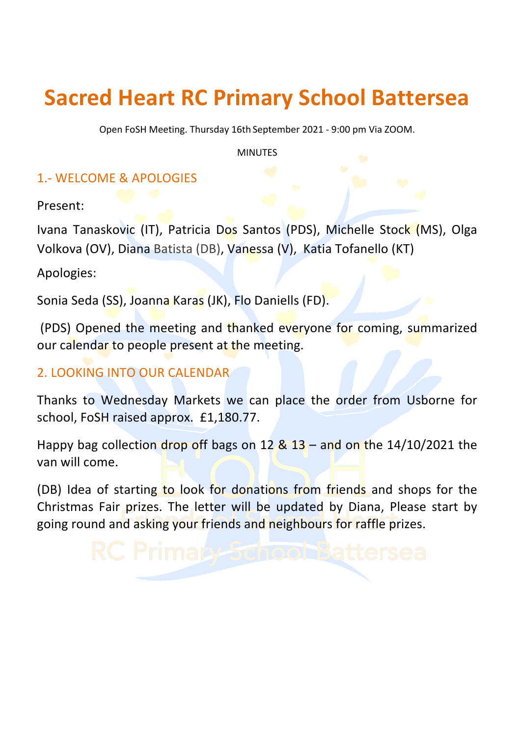## **Sacred Heart RC Primary School Battersea**

Open FoSH Meeting. Thursday 16th September 2021 - 9:00 pm Via ZOOM.

MINUTES

## 1.- WELCOME & APOLOGIES

Present: 

Ivana Tanaskovic (IT), Patricia Dos Santos (PDS), Michelle Stock (MS), Olga Volkova (OV), Diana Batista (DB), Vanessa (V), Katia Tofanello (KT)

Apologies: 

Sonia Seda (SS), Joanna Karas (JK), Flo Daniells (FD).

(PDS) Opened the meeting and thanked everyone for coming, summarized our calendar to people present at the meeting.

## 2. LOOKING INTO OUR CALENDAR

Thanks to Wednesday Markets we can place the order from Usborne for school, FoSH raised approx. £1,180.77.

Happy bag collection drop off bags on  $12 \& 13$  – and on the  $14/10/2021$  the van will come.

(DB) Idea of starting to look for donations from friends and shops for the Christmas Fair prizes. The letter will be updated by Diana, Please start by going round and asking your friends and neighbours for raffle prizes.